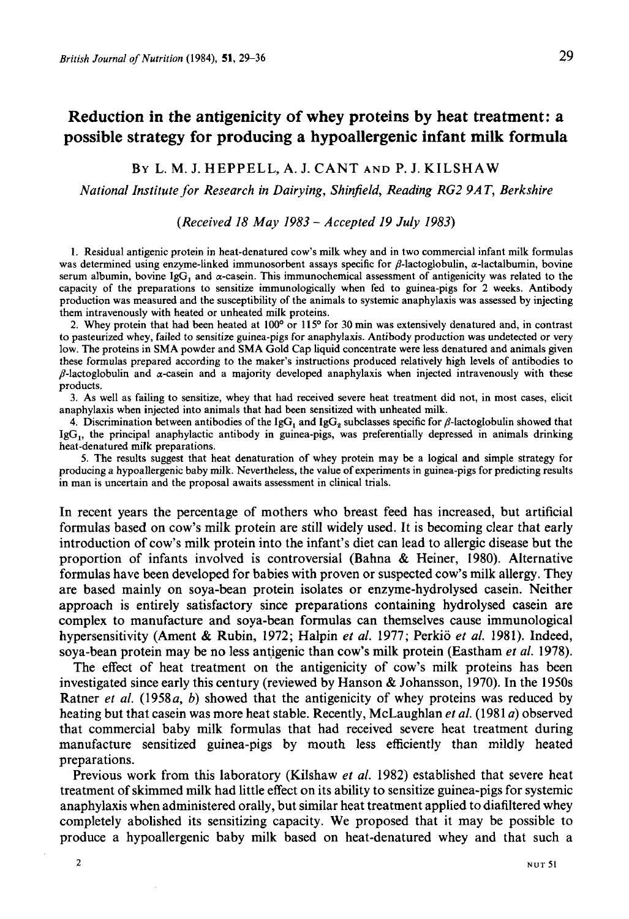# **Reduction in the antigenicity of whey proteins by heat treatment: a possible strategy for producing a hypoallergenic infant milk formula**

## BY L. M. J. HEPPELL, A. J. CANT **AND** P. J. KILSHAW

#### *National Institute for Research in Dairying, Shinjield, Reading RG2 9AT, Berkshire*

#### *(Received 18 May 1983* - *Accepted 19 July 1983)*

1. Residual antigenic protein in heat-denatured cow's milk whey and in two commercial infant milk formulas was determined using enzyme-linked immunosorbent assays specific for  $\beta$ -lactoglobulin,  $\alpha$ -lactalbumin, bovine serum albumin, bovine IgG, and  $\alpha$ -casein. This immunochemical assessment of antigenicity was related to the capacity of the preparations to sensitize immunologically when fed to guinea-pigs for 2 weeks. Antibody production was measured and the susceptibility of the animals to systemic anaphylaxis was assessed by injecting them intravenously with heated or unheated milk proteins.

2. Whey protein that had been heated at **looo** or **11 So** for **30** min was extensively denatured and, in contrast to pasteurized whey, failed to sensitize guinea-pigs for anaphylaxis. Antibody production was undetected or very low. The proteins in SMA powder and SMA Gold Cap liquid concentrate were less denatured and animals given these formulas prepared according to the maker's instructions produced relatively high levels of antibodies to  $\beta$ -lactoglobulin and  $\alpha$ -casein and a majority developed anaphylaxis when injected intravenously with these products.

3. As well as failing to sensitize, whey that had received severe heat treatment did not, in most cases, elicit anaphylaxis when injected into animals that had been sensitized with unheated milk.

4. Discrimination between antibodies of the  $\lg G_1$  and  $\lg G_2$  subclasses specific for  $\beta$ -lactoglobulin showed that  $I_{\text{g}}G_{1}$ , the principal anaphylactic antibody in guinea-pigs, was preferentially depressed in animals drinking heat-denatured milk preparations.

*5.* The results suggest that heat denaturation of whey protein may be a logical and simple strategy for producing a hypoallergenic baby milk. Nevertheless, the value of experiments in guinea-pigs for predicting results in man is uncertain and the proposal awaits assessment in clinical trials.

In recent years the percentage of mothers who breast feed has increased, but artificial formulas based on cow's milk protein are still widely used. It is becoming clear that early introduction of cow's milk protein into the infant's diet can lead to allergic disease but the proportion of infants involved is controversial (Bahna & Heiner, 1980). Alternative formulas have been developed for babies with proven or suspected cow's milk allergy. They are based mainly on soya-bean protein isolates or enzyme-hydrolysed casein. Neither approach **is** entirely satisfactory since preparations containing hydrolysed casein are complex to manufacture and soya-bean formulas can themselves cause immunological hypersensitivity (Ament & Rubin, 1972; Halpin *et al.* 1977; Perkio *et al.* 1981). Indeed, soya-bean protein may be no less antigenic than cow's milk protein (Eastham *et al.* **1978).** 

The effect of heat treatment on the antigenicity of cow's milk proteins has been investigated since early this century (reviewed by Hanson & Johansson, 1970). In the 1950s Ratner *et al.* (1958a, *b)* showed that the antigenicity of whey proteins was reduced by heating but that casein was more heat stable. Recently, McLaughlan *et al.* (1981 *a)* observed that commercial baby milk formulas that had received severe heat treatment during manufacture sensitized guinea-pigs by mouth less efficiently than mildly heated preparations.

Previous work from this laboratory (Kilshaw *et al.* 1982) established that severe heat treatment of skimmed milk had little effect on its ability to sensitize guinea-pigs for systemic anaphylaxis when administered orally, but similar heat treatment applied to diafiltered whey completely abolished its sensitizing capacity. We proposed that it may be possible to produce a hypoallergenic baby milk based on heat-denatured whey and that such a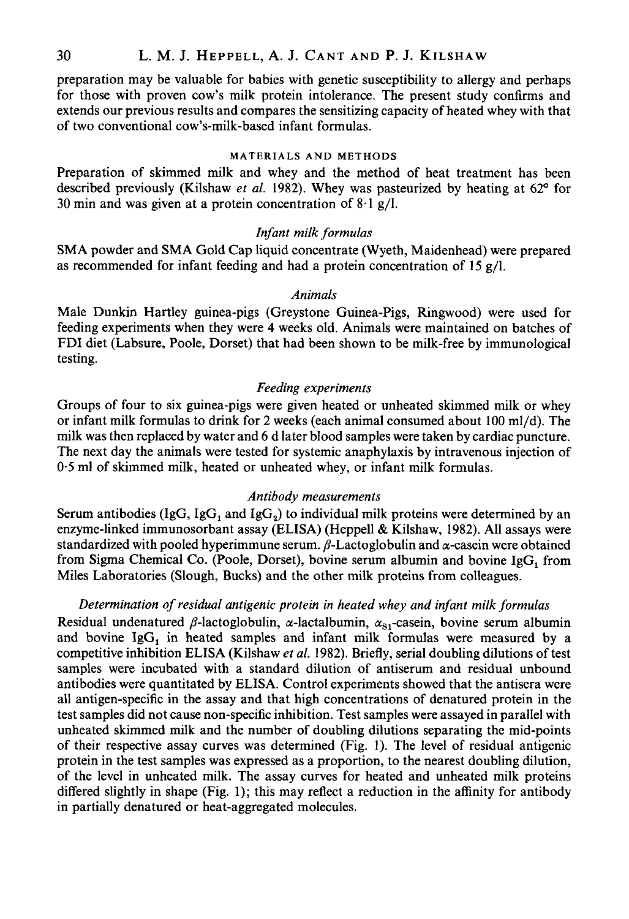preparation may be valuable for babies with genetic susceptibility to allergy and perhaps for those with proven cow's milk protein intolerance. The present study confirms and extends our previous results and compares the sensitizing capacity of heated whey with that of two conventional cow's-milk-based infant formulas.

## **MATERIALS AND METHODS**

Preparation of skimmed milk and whey and the method of heat treatment has been described previously (Kilshaw *et al.* 1982). Whey was pasteurized by heating at 62° for **30** min and was given at a protein concentration of 8.1 g/l.

## *Infant milk formulas*

SMA powder and SMA Gold Cap liquid concentrate (Wyeth, Maidenhead) were prepared as recommended for infant feeding and had a protein concentration of 15 g/l.

#### *Animals*

Male Dunkin Hartley guinea-pigs (Greystone Guinea-pigs, Ringwood) were used for feeding experiments when they were **4** weeks old. Animals were maintained on batches of FDI diet (Labsure, Poole, Dorset) that had been shown to be milk-free by immunological testing.

## *Feeding experiments*

Groups of four to six guinea-pigs were given heated or unheated skimmed milk or whey or infant milk formulas to drink for 2 weeks (each animal consumed about 100 ml/d). The milk was then replaced by water and **6** d later blood samples were taken by cardiac puncture. The next day the animals were tested for systemic anaphylaxis by intravenous injection of 0.5 ml of skimmed milk, heated or unheated whey, or infant milk formulas.

#### *Antibody measurements*

Serum antibodies (IgG, IgG<sub>1</sub> and IgG<sub>2</sub>) to individual milk proteins were determined by an enzyme-linked immunosorbant assay (ELISA) (Heppell & Kilshaw, 1982). All assays were standardized with pooled hyperimmune serum.  $\beta$ -Lactoglobulin and  $\alpha$ -casein were obtained from Sigma Chemical Co. (Poole, Dorset), bovine serum albumin and bovine Ig $G_1$  from Miles Laboratories (Slough, Bucks) and the other milk proteins from colleagues.

#### *Determination of residual antigenic protein in heated whey and infant milk formulas*

Residual undenatured  $\beta$ -lactoglobulin,  $\alpha$ -lactalbumin,  $\alpha_{S_1}$ -casein, bovine serum albumin and bovine  $I \text{g} G_1$  in heated samples and infant milk formulas were measured by a competitive inhibition ELISA (Kilshaw *et al.* 1982). Briefly, serial doubling dilutions of test samples were incubated with a standard dilution of antiserum and residual unbound antibodies were quantitated by ELISA. Control experiments showed that the antisera were all antigen-specific in the assay and that high concentrations of denatured protein in the test samples did not cause non-specific inhibition. Test samples were assayed in parallel with unheated skimmed milk and the number of doubling dilutions separating the mid-points of their respective assay curves was determined (Fig. 1). The level of residual antigenic protein in the test samples was expressed as a proportion, to the nearest doubling dilution, of the level in unheated milk. The assay curves for heated and unheated milk proteins differed slightly in shape (Fig. 1); this may reflect a reduction in the affinity for antibody in partially denatured or heat-aggregated molecules.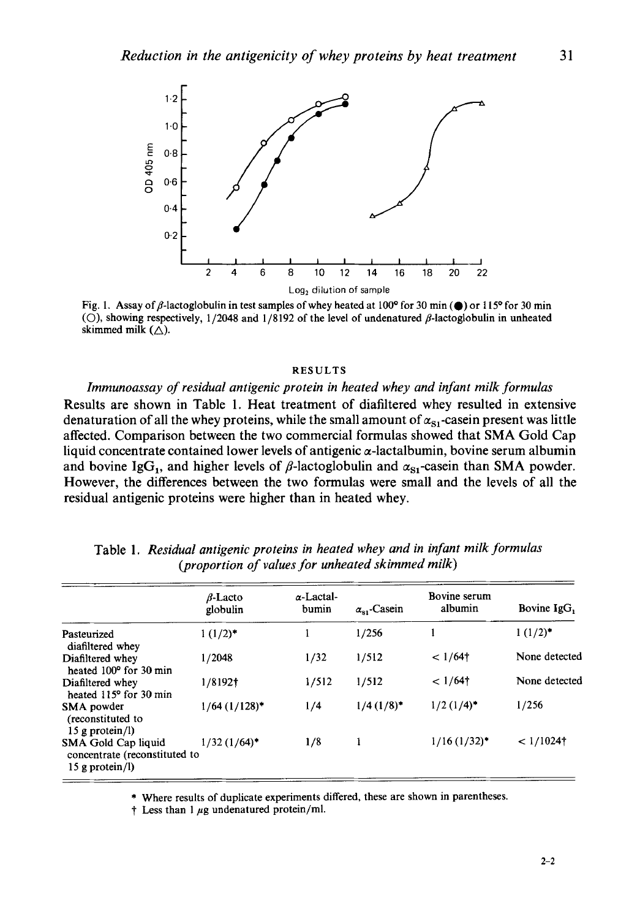

Fig. 1. Assay of  $\beta$ -lactoglobulin in test samples of whey heated at 100° for 30 min ( $\bullet$ ) or 115° for 30 min ( $\bigcirc$ ), showing respectively, 1/2048 and 1/8192 of the level of undenatured  $\beta$ -lactoglobulin in unheated skimmed milk  $(\triangle)$ .

#### **RESULTS**

*Immunoassay of residual antigenic protein in heated whey and infant milk formulas*  Results are shown in Table 1. Heat treatment of diafiltered whey resulted in extensive denaturation of all the whey proteins, while the small amount of  $\alpha_{s_1}$ -casein present was little affected. Comparison between the two commercial formulas showed that **SMA** Gold Cap liquid concentrate contained lower levels of antigenic  $\alpha$ -lactalbumin, bovine serum albumin and bovine IgG<sub>1</sub>, and higher levels of  $\beta$ -lactoglobulin and  $\alpha_{\rm SI}$ -casein than **SMA** powder. However, the differences between the two formulas were small and the levels of all the residual antigenic proteins were higher than in heated whey.

|                                                                              | $\beta$ -Lacto<br>globulin | $\alpha$ -Lactal-<br>bumin | $\alpha_{\rm SI}$ -Casein | Bovine serum<br>albumin  | Bovine IgG,   |
|------------------------------------------------------------------------------|----------------------------|----------------------------|---------------------------|--------------------------|---------------|
| Pasteurized<br>diafiltered whey                                              | $1(1/2)^*$                 |                            | 1/256                     |                          | $1(1/2)^*$    |
| Diafiltered whey<br>heated 100° for 30 min                                   | 1/2048                     | 1/32                       | 1/512                     | $1/64$ <sup>†</sup>      | None detected |
| Diafiltered whey<br>heated 115° for 30 min                                   | 1/8192†                    | 1/512                      | 1/512                     | $1/64$ <sup>†</sup>      | None detected |
| SMA powder<br>(reconstituted to<br>15 g protein $\langle \mathbf{l} \rangle$ | $1/64$ $(1/128)$ *         | 1/4                        | $1/4$ $(1/8)^*$           | $1/2$ (1/4) <sup>*</sup> | 1/256         |
| SMA Gold Cap liquid<br>concentrate (reconstituted to<br>15 g protein/l)      | $1/32$ (1/64) <sup>*</sup> | 1/8                        | 1                         | $1/16$ $(1/32)^*$        | $< 1/1024$ †  |

Table 1. *Residual antigenic proteins in heated whey and in infant milk formulas (proportion of values for unheated skimmed milk)* 

\* Where results of duplicate experiments differed, these are shown in parentheses.

 $\uparrow$  Less than 1  $\mu$ g undenatured protein/ml.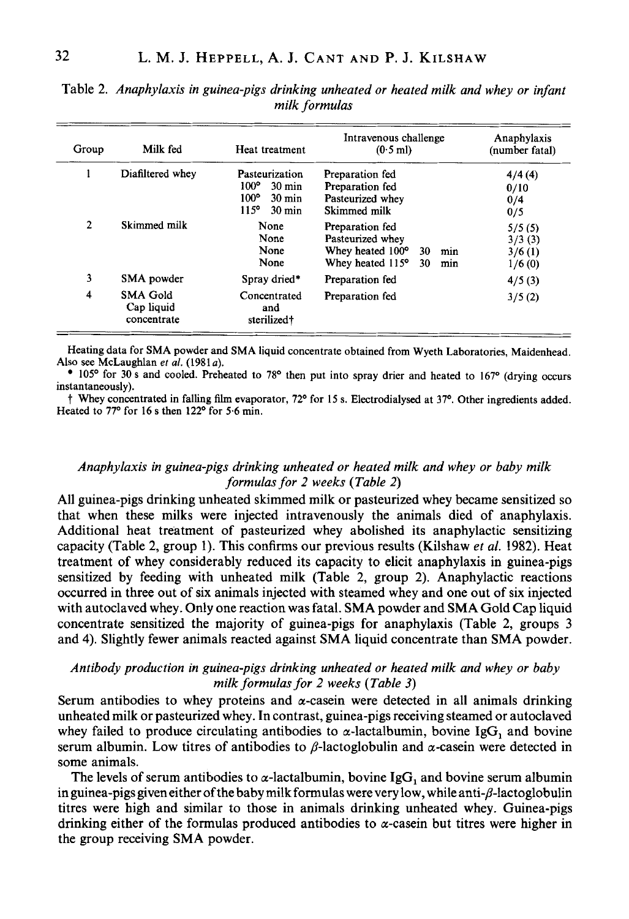| Group | Milk fed                                     | Heat treatment                                                                                                            | Intravenous challenge<br>$(0.5$ ml)                                                                   | Anaphylaxis<br>(number fatal)        |
|-------|----------------------------------------------|---------------------------------------------------------------------------------------------------------------------------|-------------------------------------------------------------------------------------------------------|--------------------------------------|
|       | Diafiltered whey                             | Pasteurization<br>$100^\circ$<br>$30 \text{ min}$<br>$100^\circ$<br>$30 \text{ min}$<br>$115^{\circ}$<br>$30 \text{ min}$ | Preparation fed<br>Preparation fed<br>Pasteurized whey<br>Skimmed milk                                | 4/4(4)<br>0/10<br>0/4<br>0/5         |
| 2     | Skimmed milk                                 | None<br>None<br>None<br>None                                                                                              | Preparation fed<br>Pasteurized whey<br>Whey heated 100°<br>30<br>min<br>Whey heated 115°<br>30<br>min | 5/5(5)<br>3/3(3)<br>3/6(1)<br>1/6(0) |
| 3     | SMA powder                                   | Spray dried*                                                                                                              | Preparation fed                                                                                       | 4/5(3)                               |
| 4     | <b>SMA Gold</b><br>Cap liquid<br>concentrate | Concentrated<br>and<br>sterilized†                                                                                        | Preparation fed                                                                                       | 3/5(2)                               |

Table 2. *Anaphylaxis in guinea-pigs drinking unheated or heated milk and whey or infant milk formulas* 

Heating data for SMA powder and SMA liquid concentrate obtained from Wyeth Laboratories, Maidenhead. Also see McLaughlan et al. (1981a).

105' for 30 s and cooled. Preheated to *78'* then put into spray drier and heated to 167' (drying occurs instantaneously).

t Whey concentrated in falling film evaporator, 72' for **15 s.** Electrodialysed at *37'.* Other ingredients added. Heated to  $77^\circ$  for 16 s then  $122^\circ$  for 5.6 min.

# *Anaphylaxis in guinea-pigs drinking unheated or heated milk and whey or baby milk formulas for 2 weeks (Table 2)*

All guinea-pigs drinking unheated skimmed milk or pasteurized whey became sensitized so that when these milks were injected intravenously the animals died of anaphylaxis. Additional heat treatment of pasteurized whey abolished its anaphylactic sensitizing capacity (Table 2, group 1). This confirms our previous results (Kilshaw *et al.* **1982).** Heat treatment of whey considerably reduced its capacity to elicit anaphylaxis in guinea-pigs sensitized by feeding with unheated milk (Table 2, group 2). Anaphylactic reactions occurred in three out of six animals injected with steamed whey and one out of six injected with autoclaved whey. Only one reaction was fatal. SMA powder and SMA Gold Cap liquid concentrate sensitized the majority of guinea-pigs for anaphylaxis (Table 2, groups **3**  and **4).** Slightly fewer animals reacted against SMA liquid concentrate than SMA powder.

## *Antibody production in guinea-pigs drinking unheated or heated milk and whey or baby milk formulas for 2 weeks (Table 3)*

Serum antibodies to whey proteins and  $\alpha$ -casein were detected in all animals drinking unheated milk or pasteurized whey. In contrast, guinea-pigs receiving steamed or autoclaved whey failed to produce circulating antibodies to  $\alpha$ -lactalbumin, bovine IgG, and bovine serum albumin. Low titres of antibodies to  $\beta$ -lactoglobulin and  $\alpha$ -casein were detected in some animals.

The levels of serum antibodies to  $\alpha$ -lactalbumin, bovine IgG, and bovine serum albumin in guinea-pigs given either of the baby milk formulas were very low, while anti- $\beta$ -lactoglobulin titres were high and similar to those in animals drinking unheated whey. Guinea-pigs drinking either of the formulas produced antibodies to  $\alpha$ -casein but titres were higher in the group receiving SMA powder.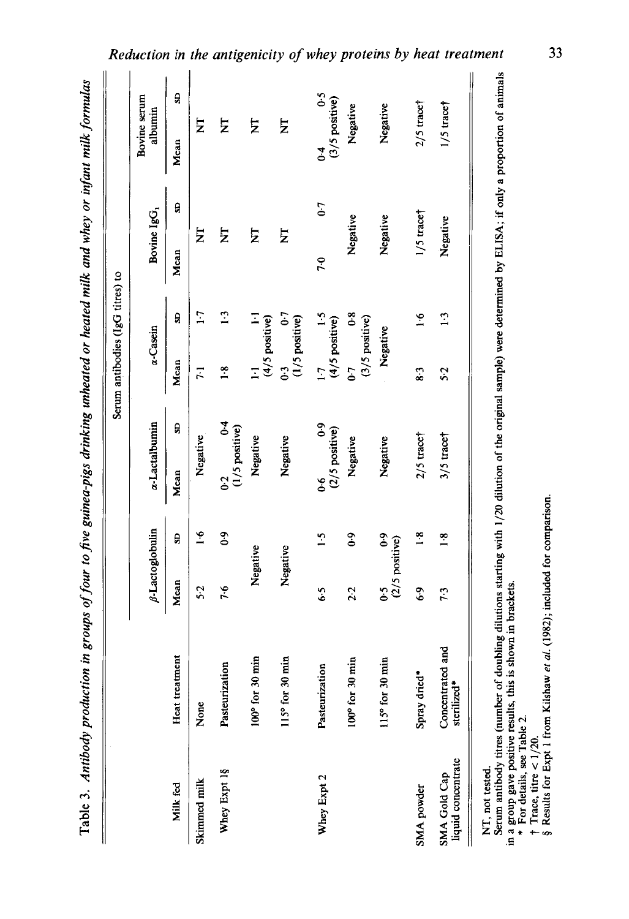| ì                                        |
|------------------------------------------|
|                                          |
|                                          |
|                                          |
| or untan'                                |
|                                          |
|                                          |
|                                          |
|                                          |
|                                          |
|                                          |
|                                          |
|                                          |
| .<br>י                                   |
| i<br>C                                   |
|                                          |
|                                          |
|                                          |
|                                          |
| $\ddot{a}$ and $\ddot{b}$ and $\ddot{a}$ |
|                                          |
|                                          |
|                                          |
|                                          |
| てんきゅう ちょうこう<br>J                         |
|                                          |
|                                          |
|                                          |
| J                                        |
|                                          |
|                                          |
|                                          |
|                                          |
|                                          |
|                                          |
|                                          |
| 1                                        |
|                                          |
| on in group.<br>)                        |
|                                          |
|                                          |
|                                          |
|                                          |
|                                          |
|                                          |
|                                          |
|                                          |
|                                          |
|                                          |
|                                          |
|                                          |
|                                          |
|                                          |
|                                          |

|                                    |                                 |                   |                                     |                                                                         |   |                           | Serum antibodies (IgG titres) to                           |                         |           |                             |   |
|------------------------------------|---------------------------------|-------------------|-------------------------------------|-------------------------------------------------------------------------|---|---------------------------|------------------------------------------------------------|-------------------------|-----------|-----------------------------|---|
|                                    |                                 |                   | $\beta$ -Lactoglobulin              | a-Lactalbumin                                                           |   |                           | a-Casein                                                   | Bovine IgG,             |           | Bovine serum<br>albumin     |   |
| Milk fed                           | Heat treatment                  | Mean              | S                                   | Mean                                                                    | g | Mean                      | g                                                          | Mean                    | G         | Mean                        | S |
| Skimmed milk                       | None                            | 5.2               | $\frac{6}{1}$                       | Negative                                                                |   | $\overline{z}$            | $\overline{1}$                                             | E                       |           | Ż                           |   |
| Whey Expt 1§                       | Pasteurization                  | 7.6               | $6-0$                               | $0.2$ 0.4<br>(1/5 positive)<br>$\overline{6}$                           |   | 1.8                       | $\overline{13}$                                            | $\overline{z}$          |           | Ż                           |   |
|                                    | 100° for 30 min                 |                   | Negative                            | Negative                                                                |   |                           | $\mathbb{E}_{\mathbb{P}^1}$<br>1.1 $1.1$<br>(4/5 positive) | Σ                       |           | Σ                           |   |
|                                    | 115° for 30 min                 |                   | Negative                            | Negative                                                                |   | $0.3$<br>(1/5 positive)   | $\ddot{\phantom{0}}$                                       | $\overline{\mathsf{z}}$ |           | Σ                           |   |
| Whey Expt 2                        | Pasteurization                  | 6.5               | $\ddot{5}$                          | $\begin{array}{c} 0.6 \\ (2/5 \text{ positive}) \end{array}$<br>ه.<br>ف |   | 1.7 1.5<br>(4/5 positive) | $\ddot{.}1$                                                | 7.0                     | $0 - 7$   | $0.4$ 0.5<br>(3/5 positive) |   |
|                                    | 100° for 30 min                 | 2.2               | 6.0                                 | Negative                                                                |   | 5                         | $\boldsymbol{0.8}$<br>(3/5 positive)                       | Negative                |           | Negative                    |   |
|                                    | 115° for 30 min                 | $\ddot{\text{o}}$ | $\ddot{\text{o}}$<br>(2/5 positive) | Negative                                                                |   |                           | Negative                                                   | Negative                |           | Negative                    |   |
| SMA powder                         | Spray dried*                    | 6.9               | $\frac{8}{1}$                       | $2/5$ trace                                                             |   | 8.3                       | $\tilde{e}$                                                |                         | 1/5 trace | $2/5$ trace                 |   |
| liquid concentrate<br>SMA Gold Cap | Concentrated and<br>sterilized* | 7.3               | $\frac{8}{1}$                       | $3/5$ trace                                                             |   | 5.2                       | $\frac{3}{2}$                                              | Negative                |           | $1/5$ trace                 |   |
| NT, not tested.                    |                                 |                   |                                     |                                                                         |   |                           |                                                            |                         |           |                             |   |

Serum antibody titres (number of doubling dilutions starting with **1/20** dilution of the original sample) were determined by ELISA; if only a proportion of animals Serum antibody titres (number of doubling dilutions starting with 1/20 dilution of the original sample) were determined by ELISA; if only a proportion of animals in a group gave positive results, this is shown in brackets. in a group gave positive results, this is shown in brackets.

\* For details, see Table **2.** 

t Trace, titre < **1/20.** 

**4** Results for Expt **1** from Kilshaw *et al.* **(1982);** included **for** comparison. † Trace, titre <  $1/20$ .<br>§ Results for Expt 1 from Kilshaw et al. (1982); included for comparison.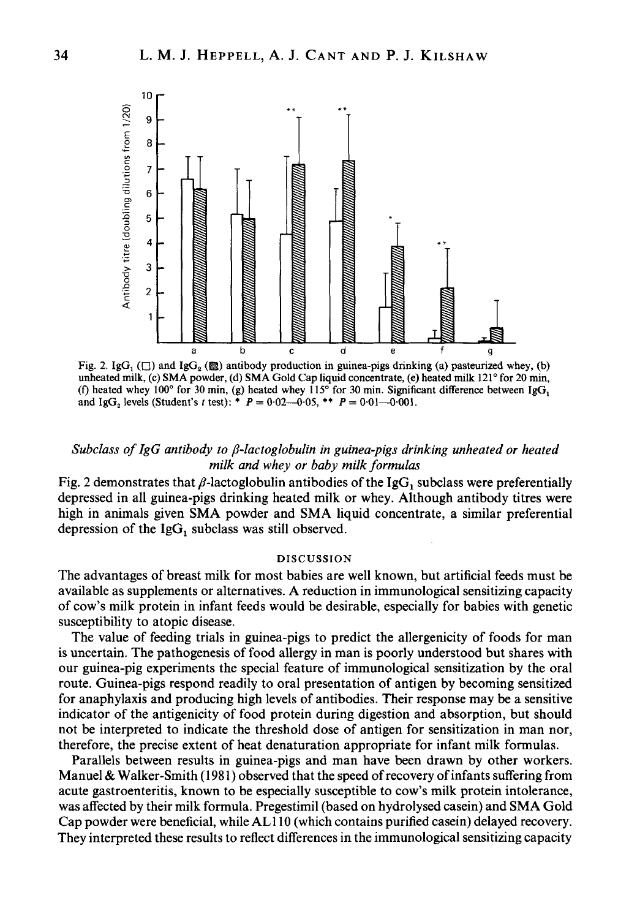

**unheated milk, (c) SMA powder, (d) SMA Gold Cap liquid concentrate, (e) heated milk 121" for 20 min,**  (f) heated whey  $100^\circ$  for 30 min, (g) heated whey  $115^\circ$  for 30 min. Significant difference between IgG<sub>1</sub> and IgG<sub>z</sub> levels (Student's *t* test): \*  $P = 0.02 - 0.05$ , \*\*  $P = 0.01 - 0.001$ .

# *Subclass of IgG antibody to P-lactoglobulin in guinea-pigs drinking unheated or heated milk and whey or baby milk formulas*

Fig. 2 demonstrates that  $\beta$ -lactoglobulin antibodies of the IgG, subclass were preferentially depressed in all guinea-pigs drinking heated milk or whey. Although antibody titres were high in animals given SMA powder and SMA liquid concentrate, a similar preferential depression of the  $IgG<sub>1</sub>$  subclass was still observed.

#### **DISCUSSION**

The advantages of breast milk for most babies are well known, but artificial feeds must be available as supplements or alternatives. A reduction in immunological sensitizing capacity of cow's milk protein in infant feeds would be desirable, especially for babies with genetic susceptibility to atopic disease.

The value of feeding trials in guinea-pigs to predict the allergenicity of foods for man is uncertain. The pathogenesis of food allergy in man is poorly understood but shares with our guinea-pig experiments the special feature of immunological sensitization by the oral route. Guinea-pigs respond readily to oral presentation of antigen by becoming sensitized for anaphylaxis and producing high levels of antibodies. Their response may be a sensitive indicator of the antigenicity of food protein during digestion and absorption, but should not be interpreted to indicate the threshold dose of antigen for sensitization in man nor, therefore, the precise extent of heat denaturation appropriate for infant milk formulas.

Parallels between results in guinea-pigs and man have been drawn by other workers. Manuel & Walker-Smith (1981) observed that the speed of recovery of infants suffering from acute gastroenteritis, known to be especially susceptible to cow's milk protein intolerance, was affected by their milk formula. Pregestimil (based on hydrolysed casein) and SMA Gold Cap powder were beneficial, while ALl 10 (which contains purified casein) delayed recovery. They interpreted these results to reflect differences in the immunological sensitizing capacity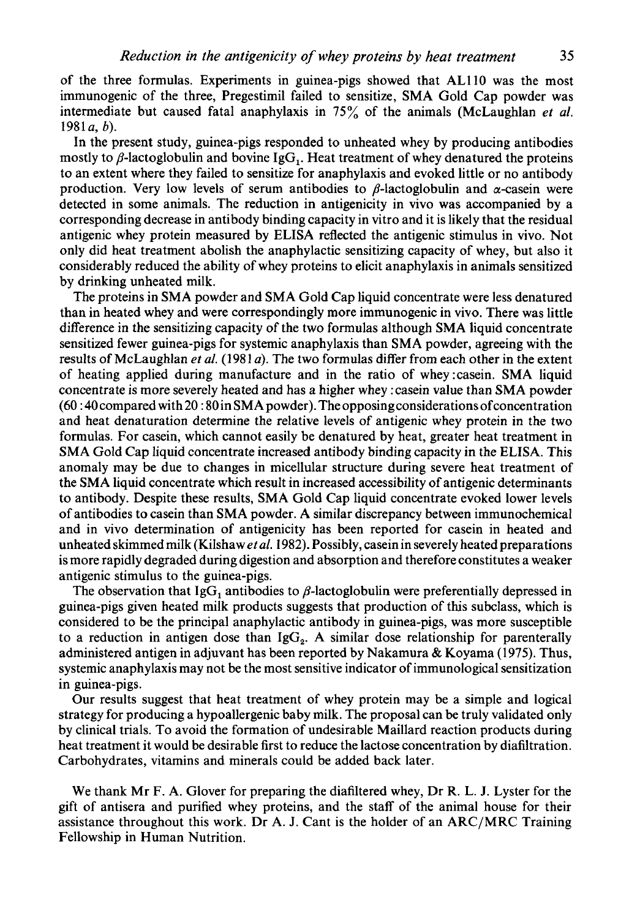of the three formulas. Experiments in guinea-pigs showed that AL110 was the most immunogenic of the three, Pregestimil failed to sensitize, SMA Gold Cap powder was intermediate but caused fatal anaphylaxis in 75% of the animals (McLaughlan *et af.*  1981 *a, b).* 

In the present study, guinea-pigs responded to unheated whey by producing antibodies mostly to  $\beta$ -lactoglobulin and bovine IgG<sub>1</sub>. Heat treatment of whey denatured the proteins to an extent where they failed to sensitize for anaphylaxis and evoked little or no antibody production. Very low levels of serum antibodies to  $\beta$ -lactoglobulin and  $\alpha$ -casein were detected in some animals. The reduction in antigenicity in vivo was accompanied by a corresponding decrease in antibody binding capacity in vitro and it is likely that the residual antigenic whey protein measured by ELISA reflected the antigenic stimulus in vivo. Not only did heat treatment abolish the anaphylactic sensitizing capacity of whey, but also it considerably reduced the ability of whey proteins to elicit anaphylaxis in animals sensitized by drinking unheated milk.

The proteins in SMA powder and SMA Gold Cap liquid concentrate were less denatured than in heated whey and were correspondingly more immunogenic in vivo. There was little difference in the sensitizing capacity of the two formulas although **SMA** liquid concentrate sensitized fewer guinea-pigs for systemic anaphylaxis than SMA powder, agreeing with the results of McLaughlan *et af.* (1981 *a).* The two formulas differ from each other in the extent of heating applied during manufacture and in the ratio of whey:casein. SMA liquid concentrate is more severely heated and has a higher whey :casein value than SMA powder (60 : **40** compared with 20 : **80** in SMA powder). The opposing considerations ofconcentration and heat denaturation determine the relative levels of antigenic whey protein in the two formulas. For casein, which cannot easily be denatured by heat, greater heat treatment in SMA Gold Cap liquid concentrate increased antibody binding capacity in the ELISA. This anomaly may be due to changes in micellular structure during severe heat treatment of the SMA liquid concentrate which result in increased accessibility of antigenic determinants to antibody. Despite these results, SMA Gold Cap liquid concentrate evoked lower levels of antibodies to casein than SMA powder. A similar discrepancy between immunochemical and in vivo determination of antigenicity has been reported for casein in heated and unheated skimmed milk (Kilshaw *et af.* 1982). Possibly, casein in severely heated preparations is more rapidly degraded during digestion and absorption and therefore constitutes a weaker antigenic stimulus to the guinea-pigs.

The observation that IgG, antibodies to  $\beta$ -lactoglobulin were preferentially depressed in guinea-pigs given heated milk products suggests that production of this subclass, which is considered to be the principal anaphylactic antibody in guinea-pigs, was more susceptible to a reduction in antigen dose than  $IgG<sub>2</sub>$ . A similar dose relationship for parenterally administered antigen in adjuvant has been reported by Nakamura & Koyama (1975). Thus, systemic anaphylaxis may not be the most sensitive indicator of immunological sensitization in guinea-pigs.

Our results suggest that heat treatment of whey protein may be a simple and logical strategy for producing a hypoallergenic baby milk. The proposal can be truly validated only by clinical trials. To avoid the formation of undesirable Maillard reaction products during heat treatment it would be desirable first to reduce the lactose concentration by diafiltration. Carbohydrates, vitamins and minerals could be added back later.

We thank Mr **F.** A. Glover for preparing the diafiltered whey, Dr R. **L.** J. Lyster for the gift of antisera and purified whey proteins, and the staff of the animal house for their assistance throughout this work. Dr A. J. Cant is the holder of an ARC/MRC Training Fellowship in Human Nutrition.